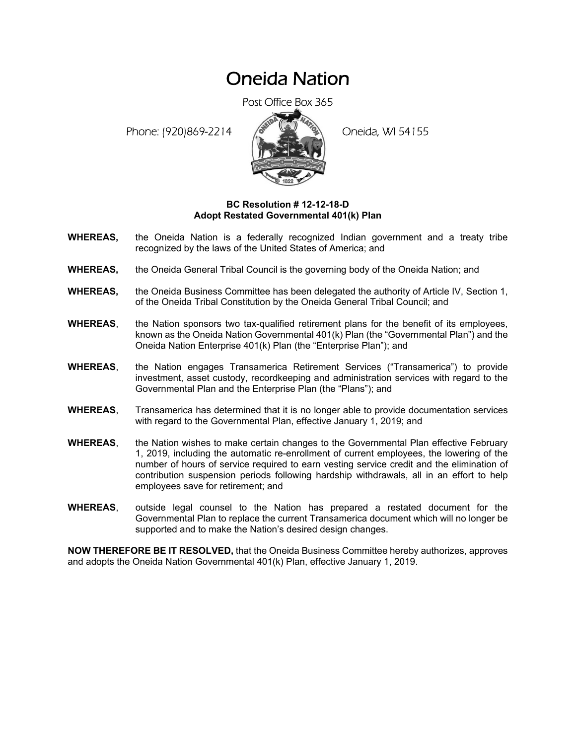## Oneida Nation

Post Office Box 365

Phone: (920)869-2214 (8 April 2) Oneida, WI 54155



## **BC Resolution # 12-12-18-D Adopt Restated Governmental 401(k) Plan**

- **WHEREAS,** the Oneida Nation is a federally recognized Indian government and a treaty tribe recognized by the laws of the United States of America; and
- **WHEREAS,** the Oneida General Tribal Council is the governing body of the Oneida Nation; and
- **WHEREAS,** the Oneida Business Committee has been delegated the authority of Article IV, Section 1, of the Oneida Tribal Constitution by the Oneida General Tribal Council; and
- **WHEREAS**, the Nation sponsors two tax-qualified retirement plans for the benefit of its employees, known as the Oneida Nation Governmental 401(k) Plan (the "Governmental Plan") and the Oneida Nation Enterprise 401(k) Plan (the "Enterprise Plan"); and
- **WHEREAS**, the Nation engages Transamerica Retirement Services ("Transamerica") to provide investment, asset custody, recordkeeping and administration services with regard to the Governmental Plan and the Enterprise Plan (the "Plans"); and
- **WHEREAS**, Transamerica has determined that it is no longer able to provide documentation services with regard to the Governmental Plan, effective January 1, 2019; and
- **WHEREAS**, the Nation wishes to make certain changes to the Governmental Plan effective February 1, 2019, including the automatic re-enrollment of current employees, the lowering of the number of hours of service required to earn vesting service credit and the elimination of contribution suspension periods following hardship withdrawals, all in an effort to help employees save for retirement; and
- **WHEREAS**, outside legal counsel to the Nation has prepared a restated document for the Governmental Plan to replace the current Transamerica document which will no longer be supported and to make the Nation's desired design changes.

**NOW THEREFORE BE IT RESOLVED,** that the Oneida Business Committee hereby authorizes, approves and adopts the Oneida Nation Governmental 401(k) Plan, effective January 1, 2019.